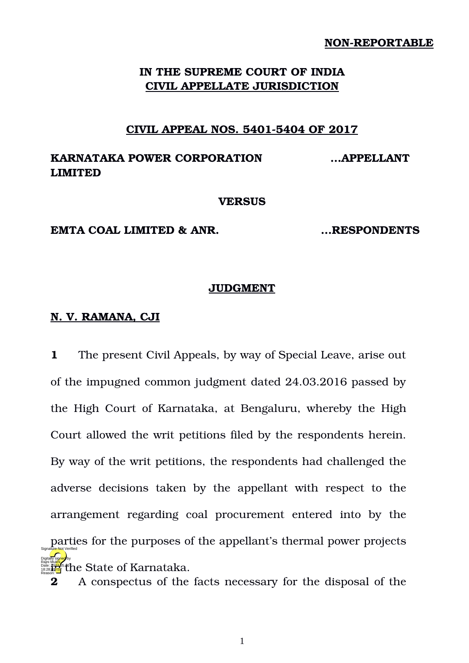#### **NON-REPORTABLE**

## **IN THE SUPREME COURT OF INDIA CIVIL APPELLATE JURISDICTION**

### **CIVIL APPEAL NOS. 54015404 OF 2017**

# **KARNATAKA POWER CORPORATION …APPELLANT LIMITED**

#### **VERSUS**

#### **EMTA COAL LIMITED & ANR. …RESPONDENTS**

#### **JUDGMENT**

## **N. V. RAMANA, CJI**

**1** The present Civil Appeals, by way of Special Leave, arise out of the impugned common judgment dated 24.03.2016 passed by the High Court of Karnataka, at Bengaluru, whereby the High Court allowed the writ petitions filed by the respondents herein. By way of the writ petitions, the respondents had challenged the adverse decisions taken by the appellant with respect to the arrangement regarding coal procurement entered into by the parties for the purposes of the appellant's thermal power projects **Date: 2022**<sup>6</sup><sup>8</sup> the State of Karnataka. Digitally signed by Rajni Mukhi Reason: Signature Not Verified

**2** A conspectus of the facts necessary for the disposal of the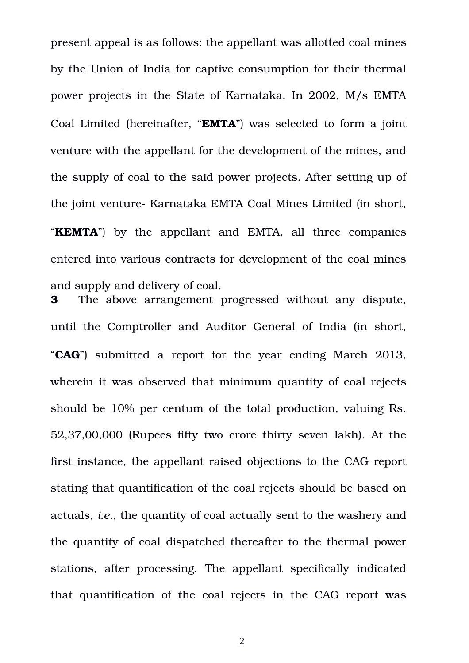present appeal is as follows: the appellant was allotted coal mines by the Union of India for captive consumption for their thermal power projects in the State of Karnataka. In 2002, M/s EMTA Coal Limited (hereinafter, "**EMTA**") was selected to form a joint venture with the appellant for the development of the mines, and the supply of coal to the said power projects. After setting up of the joint venture Karnataka EMTA Coal Mines Limited (in short, "**KEMTA**") by the appellant and EMTA, all three companies entered into various contracts for development of the coal mines and supply and delivery of coal.

**3** The above arrangement progressed without any dispute, until the Comptroller and Auditor General of India (in short, "**CAG**") submitted a report for the year ending March 2013, wherein it was observed that minimum quantity of coal rejects should be 10% per centum of the total production, valuing Rs. 52,37,00,000 (Rupees fifty two crore thirty seven lakh). At the first instance, the appellant raised objections to the CAG report stating that quantification of the coal rejects should be based on actuals, *i.e.*, the quantity of coal actually sent to the washery and the quantity of coal dispatched thereafter to the thermal power stations, after processing. The appellant specifically indicated that quantification of the coal rejects in the CAG report was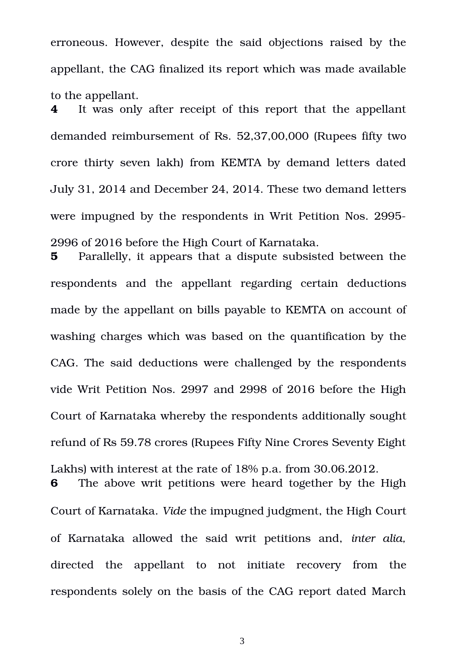erroneous. However, despite the said objections raised by the appellant, the CAG finalized its report which was made available to the appellant.

**4** It was only after receipt of this report that the appellant demanded reimbursement of Rs. 52,37,00,000 (Rupees fifty two crore thirty seven lakh) from KEMTA by demand letters dated July 31, 2014 and December 24, 2014. These two demand letters were impugned by the respondents in Writ Petition Nos. 2995 2996 of 2016 before the High Court of Karnataka.

**5** Parallelly, it appears that a dispute subsisted between the respondents and the appellant regarding certain deductions made by the appellant on bills payable to KEMTA on account of washing charges which was based on the quantification by the CAG. The said deductions were challenged by the respondents vide Writ Petition Nos. 2997 and 2998 of 2016 before the High Court of Karnataka whereby the respondents additionally sought refund of Rs 59.78 crores (Rupees Fifty Nine Crores Seventy Eight Lakhs) with interest at the rate of 18% p.a. from 30.06.2012.

**6** The above writ petitions were heard together by the High Court of Karnataka. *Vide* the impugned judgment, the High Court of Karnataka allowed the said writ petitions and, *inter alia,* directed the appellant to not initiate recovery from the respondents solely on the basis of the CAG report dated March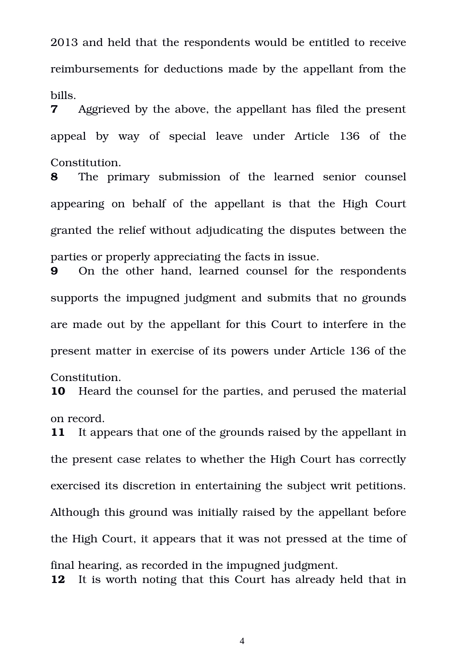2013 and held that the respondents would be entitled to receive reimbursements for deductions made by the appellant from the bills.

**7** Aggrieved by the above, the appellant has filed the present appeal by way of special leave under Article 136 of the Constitution.

**8** The primary submission of the learned senior counsel appearing on behalf of the appellant is that the High Court granted the relief without adjudicating the disputes between the parties or properly appreciating the facts in issue.

**9** On the other hand, learned counsel for the respondents supports the impugned judgment and submits that no grounds are made out by the appellant for this Court to interfere in the present matter in exercise of its powers under Article 136 of the

**10** Heard the counsel for the parties, and perused the material

Constitution.

**11** It appears that one of the grounds raised by the appellant in

the present case relates to whether the High Court has correctly

exercised its discretion in entertaining the subject writ petitions.

Although this ground was initially raised by the appellant before

on record.

the High Court, it appears that it was not pressed at the time of

**12** It is worth noting that this Court has already held that in

final hearing, as recorded in the impugned judgment.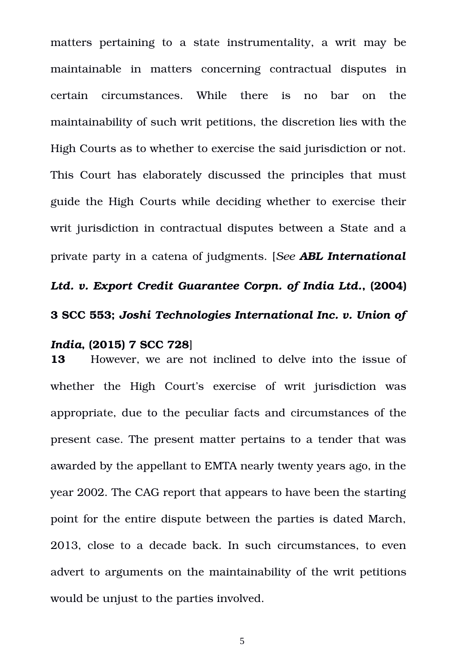matters pertaining to a state instrumentality, a writ may be maintainable in matters concerning contractual disputes in certain circumstances. While there is no bar on the maintainability of such writ petitions, the discretion lies with the High Courts as to whether to exercise the said jurisdiction or not. This Court has elaborately discussed the principles that must guide the High Courts while deciding whether to exercise their writ jurisdiction in contractual disputes between a State and a private party in a catena of judgments. [*See ABL International Ltd. v. Export Credit Guarantee Corpn. of India Ltd.***, (2004) 3 SCC 553;** *Joshi Technologies International Inc. v. Union of*

## *India***, (2015) 7 SCC 728**]

**13** However, we are not inclined to delve into the issue of whether the High Court's exercise of writ jurisdiction was appropriate, due to the peculiar facts and circumstances of the present case. The present matter pertains to a tender that was awarded by the appellant to EMTA nearly twenty years ago, in the year 2002. The CAG report that appears to have been the starting point for the entire dispute between the parties is dated March, 2013, close to a decade back. In such circumstances, to even advert to arguments on the maintainability of the writ petitions would be unjust to the parties involved.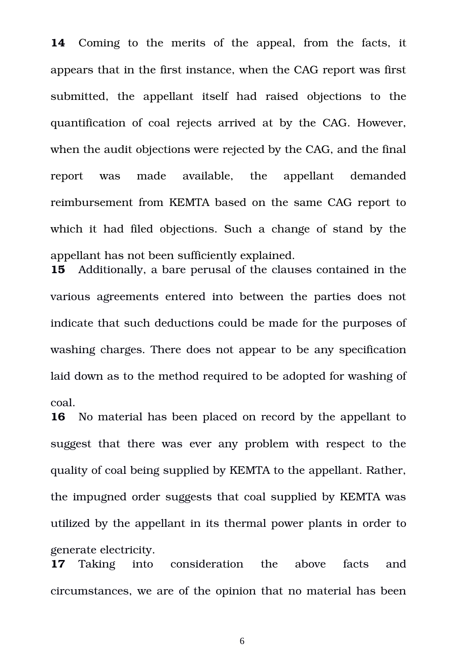**14** Coming to the merits of the appeal, from the facts, it appears that in the first instance, when the CAG report was first submitted, the appellant itself had raised objections to the quantification of coal rejects arrived at by the CAG. However, when the audit objections were rejected by the CAG, and the final report was made available, the appellant demanded reimbursement from KEMTA based on the same CAG report to which it had filed objections. Such a change of stand by the appellant has not been sufficiently explained.

**15** Additionally, a bare perusal of the clauses contained in the various agreements entered into between the parties does not indicate that such deductions could be made for the purposes of washing charges. There does not appear to be any specification laid down as to the method required to be adopted for washing of coal.

**16** No material has been placed on record by the appellant to suggest that there was ever any problem with respect to the quality of coal being supplied by KEMTA to the appellant. Rather, the impugned order suggests that coal supplied by KEMTA was utilized by the appellant in its thermal power plants in order to generate electricity.

**17** Taking into consideration the above facts and circumstances, we are of the opinion that no material has been